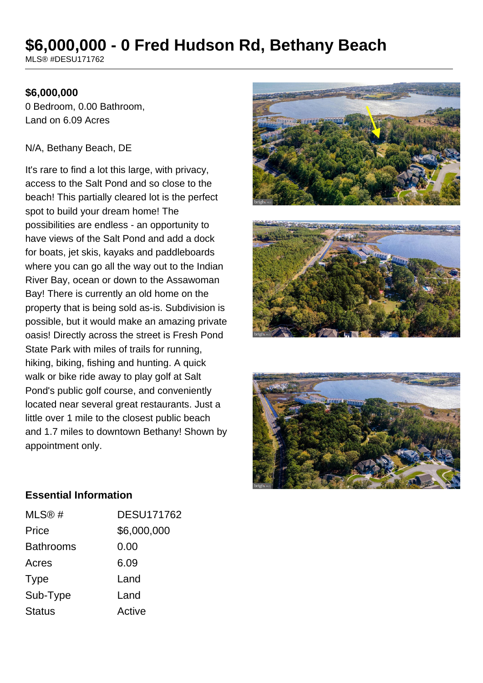# **\$6,000,000 - 0 Fred Hudson Rd, Bethany Beach**

MLS® #DESU171762

#### **\$6,000,000**

0 Bedroom, 0.00 Bathroom, Land on 6.09 Acres

#### N/A, Bethany Beach, DE

It's rare to find a lot this large, with privacy, access to the Salt Pond and so close to the beach! This partially cleared lot is the perfect spot to build your dream home! The possibilities are endless - an opportunity to have views of the Salt Pond and add a dock for boats, jet skis, kayaks and paddleboards where you can go all the way out to the Indian River Bay, ocean or down to the Assawoman Bay! There is currently an old home on the property that is being sold as-is. Subdivision is possible, but it would make an amazing private oasis! Directly across the street is Fresh Pond State Park with miles of trails for running, hiking, biking, fishing and hunting. A quick walk or bike ride away to play golf at Salt Pond's public golf course, and conveniently located near several great restaurants. Just a little over 1 mile to the closest public beach and 1.7 miles to downtown Bethany! Shown by appointment only.







#### **Essential Information**

| MLS@#            | <b>DESU171762</b> |
|------------------|-------------------|
| Price            | \$6,000,000       |
| <b>Bathrooms</b> | 0.00              |
| Acres            | 6.09              |
| Type             | Land              |
| Sub-Type         | Land              |
| <b>Status</b>    | Active            |